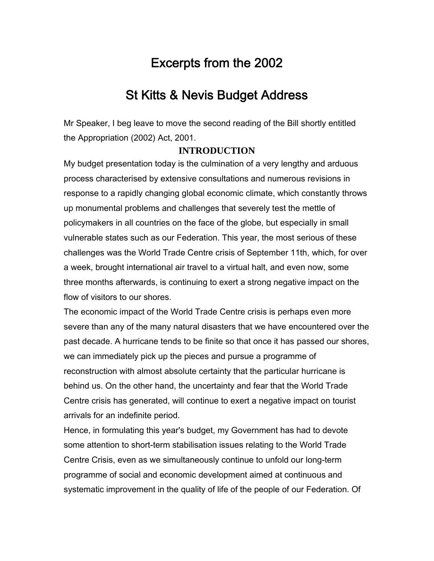# Excerpts from the 2002

## St Kitts & Nevis Budget Address

Mr Speaker, I beg leave to move the second reading of the Bill shortly entitled the Appropriation (2002) Act, 2001.

#### **INTRODUCTION**

My budget presentation today is the culmination of a very lengthy and arduous process characterised by extensive consultations and numerous revisions in response to a rapidly changing global economic climate, which constantly throws up monumental problems and challenges that severely test the mettle of policymakers in all countries on the face of the globe, but especially in small vulnerable states such as our Federation. This year, the most serious of these challenges was the World Trade Centre crisis of September 11th, which, for over a week, brought international air travel to a virtual halt, and even now, some three months afterwards, is continuing to exert a strong negative impact on the flow of visitors to our shores.

The economic impact of the World Trade Centre crisis is perhaps even more severe than any of the many natural disasters that we have encountered over the past decade. A hurricane tends to be finite so that once it has passed our shores, we can immediately pick up the pieces and pursue a programme of reconstruction with almost absolute certainty that the particular hurricane is behind us. On the other hand, the uncertainty and fear that the World Trade Centre crisis has generated, will continue to exert a negative impact on tourist arrivals for an indefinite period.

Hence, in formulating this year's budget, my Government has had to devote some attention to short-term stabilisation issues relating to the World Trade Centre Crisis, even as we simultaneously continue to unfold our long-term programme of social and economic development aimed at continuous and systematic improvement in the quality of life of the people of our Federation. Of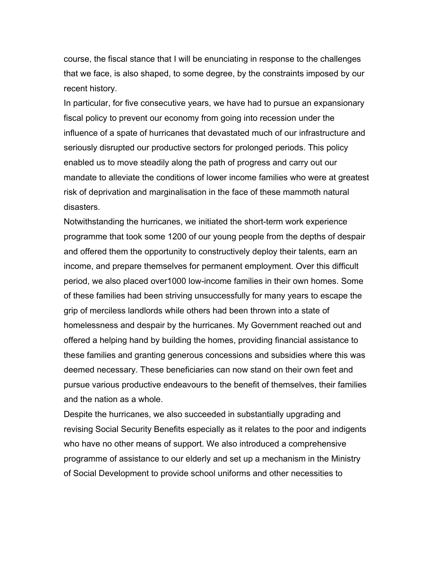course, the fiscal stance that I will be enunciating in response to the challenges that we face, is also shaped, to some degree, by the constraints imposed by our recent history.

In particular, for five consecutive years, we have had to pursue an expansionary fiscal policy to prevent our economy from going into recession under the influence of a spate of hurricanes that devastated much of our infrastructure and seriously disrupted our productive sectors for prolonged periods. This policy enabled us to move steadily along the path of progress and carry out our mandate to alleviate the conditions of lower income families who were at greatest risk of deprivation and marginalisation in the face of these mammoth natural disasters.

Notwithstanding the hurricanes, we initiated the short-term work experience programme that took some 1200 of our young people from the depths of despair and offered them the opportunity to constructively deploy their talents, earn an income, and prepare themselves for permanent employment. Over this difficult period, we also placed over1000 low-income families in their own homes. Some of these families had been striving unsuccessfully for many years to escape the grip of merciless landlords while others had been thrown into a state of homelessness and despair by the hurricanes. My Government reached out and offered a helping hand by building the homes, providing financial assistance to these families and granting generous concessions and subsidies where this was deemed necessary. These beneficiaries can now stand on their own feet and pursue various productive endeavours to the benefit of themselves, their families and the nation as a whole.

Despite the hurricanes, we also succeeded in substantially upgrading and revising Social Security Benefits especially as it relates to the poor and indigents who have no other means of support. We also introduced a comprehensive programme of assistance to our elderly and set up a mechanism in the Ministry of Social Development to provide school uniforms and other necessities to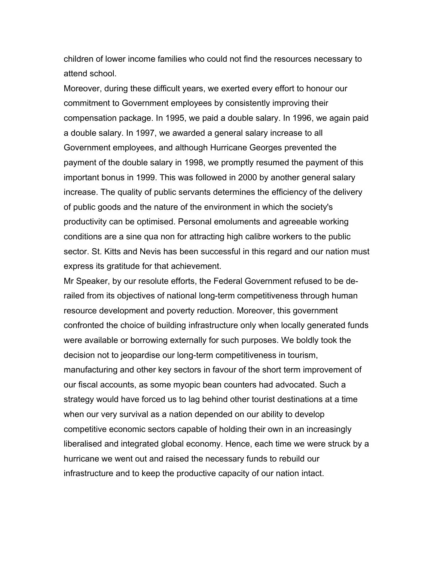children of lower income families who could not find the resources necessary to attend school.

Moreover, during these difficult years, we exerted every effort to honour our commitment to Government employees by consistently improving their compensation package. In 1995, we paid a double salary. In 1996, we again paid a double salary. In 1997, we awarded a general salary increase to all Government employees, and although Hurricane Georges prevented the payment of the double salary in 1998, we promptly resumed the payment of this important bonus in 1999. This was followed in 2000 by another general salary increase. The quality of public servants determines the efficiency of the delivery of public goods and the nature of the environment in which the society's productivity can be optimised. Personal emoluments and agreeable working conditions are a sine qua non for attracting high calibre workers to the public sector. St. Kitts and Nevis has been successful in this regard and our nation must express its gratitude for that achievement.

Mr Speaker, by our resolute efforts, the Federal Government refused to be derailed from its objectives of national long-term competitiveness through human resource development and poverty reduction. Moreover, this government confronted the choice of building infrastructure only when locally generated funds were available or borrowing externally for such purposes. We boldly took the decision not to jeopardise our long-term competitiveness in tourism, manufacturing and other key sectors in favour of the short term improvement of our fiscal accounts, as some myopic bean counters had advocated. Such a strategy would have forced us to lag behind other tourist destinations at a time when our very survival as a nation depended on our ability to develop competitive economic sectors capable of holding their own in an increasingly liberalised and integrated global economy. Hence, each time we were struck by a hurricane we went out and raised the necessary funds to rebuild our infrastructure and to keep the productive capacity of our nation intact.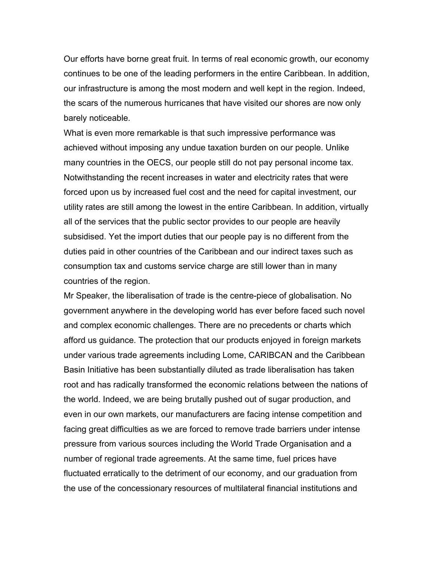Our efforts have borne great fruit. In terms of real economic growth, our economy continues to be one of the leading performers in the entire Caribbean. In addition, our infrastructure is among the most modern and well kept in the region. Indeed, the scars of the numerous hurricanes that have visited our shores are now only barely noticeable.

What is even more remarkable is that such impressive performance was achieved without imposing any undue taxation burden on our people. Unlike many countries in the OECS, our people still do not pay personal income tax. Notwithstanding the recent increases in water and electricity rates that were forced upon us by increased fuel cost and the need for capital investment, our utility rates are still among the lowest in the entire Caribbean. In addition, virtually all of the services that the public sector provides to our people are heavily subsidised. Yet the import duties that our people pay is no different from the duties paid in other countries of the Caribbean and our indirect taxes such as consumption tax and customs service charge are still lower than in many countries of the region.

Mr Speaker, the liberalisation of trade is the centre-piece of globalisation. No government anywhere in the developing world has ever before faced such novel and complex economic challenges. There are no precedents or charts which afford us guidance. The protection that our products enjoyed in foreign markets under various trade agreements including Lome, CARIBCAN and the Caribbean Basin Initiative has been substantially diluted as trade liberalisation has taken root and has radically transformed the economic relations between the nations of the world. Indeed, we are being brutally pushed out of sugar production, and even in our own markets, our manufacturers are facing intense competition and facing great difficulties as we are forced to remove trade barriers under intense pressure from various sources including the World Trade Organisation and a number of regional trade agreements. At the same time, fuel prices have fluctuated erratically to the detriment of our economy, and our graduation from the use of the concessionary resources of multilateral financial institutions and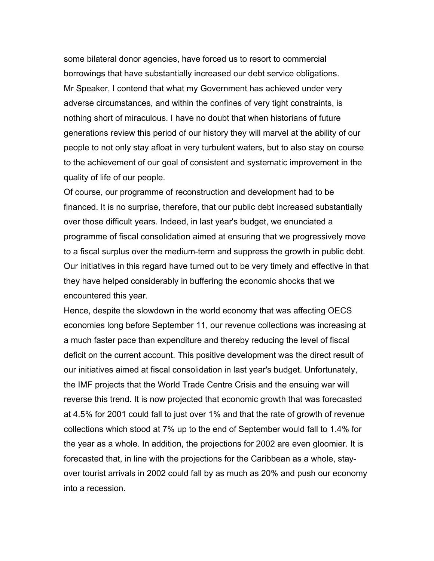some bilateral donor agencies, have forced us to resort to commercial borrowings that have substantially increased our debt service obligations. Mr Speaker, I contend that what my Government has achieved under very adverse circumstances, and within the confines of very tight constraints, is nothing short of miraculous. I have no doubt that when historians of future generations review this period of our history they will marvel at the ability of our people to not only stay afloat in very turbulent waters, but to also stay on course to the achievement of our goal of consistent and systematic improvement in the quality of life of our people.

Of course, our programme of reconstruction and development had to be financed. It is no surprise, therefore, that our public debt increased substantially over those difficult years. Indeed, in last year's budget, we enunciated a programme of fiscal consolidation aimed at ensuring that we progressively move to a fiscal surplus over the medium-term and suppress the growth in public debt. Our initiatives in this regard have turned out to be very timely and effective in that they have helped considerably in buffering the economic shocks that we encountered this year.

Hence, despite the slowdown in the world economy that was affecting OECS economies long before September 11, our revenue collections was increasing at a much faster pace than expenditure and thereby reducing the level of fiscal deficit on the current account. This positive development was the direct result of our initiatives aimed at fiscal consolidation in last year's budget. Unfortunately, the IMF projects that the World Trade Centre Crisis and the ensuing war will reverse this trend. It is now projected that economic growth that was forecasted at 4.5% for 2001 could fall to just over 1% and that the rate of growth of revenue collections which stood at 7% up to the end of September would fall to 1.4% for the year as a whole. In addition, the projections for 2002 are even gloomier. It is forecasted that, in line with the projections for the Caribbean as a whole, stayover tourist arrivals in 2002 could fall by as much as 20% and push our economy into a recession.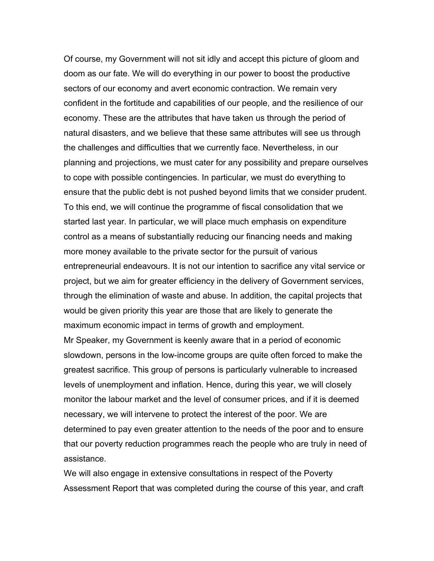Of course, my Government will not sit idly and accept this picture of gloom and doom as our fate. We will do everything in our power to boost the productive sectors of our economy and avert economic contraction. We remain very confident in the fortitude and capabilities of our people, and the resilience of our economy. These are the attributes that have taken us through the period of natural disasters, and we believe that these same attributes will see us through the challenges and difficulties that we currently face. Nevertheless, in our planning and projections, we must cater for any possibility and prepare ourselves to cope with possible contingencies. In particular, we must do everything to ensure that the public debt is not pushed beyond limits that we consider prudent. To this end, we will continue the programme of fiscal consolidation that we started last year. In particular, we will place much emphasis on expenditure control as a means of substantially reducing our financing needs and making more money available to the private sector for the pursuit of various entrepreneurial endeavours. It is not our intention to sacrifice any vital service or project, but we aim for greater efficiency in the delivery of Government services, through the elimination of waste and abuse. In addition, the capital projects that would be given priority this year are those that are likely to generate the maximum economic impact in terms of growth and employment. Mr Speaker, my Government is keenly aware that in a period of economic slowdown, persons in the low-income groups are quite often forced to make the greatest sacrifice. This group of persons is particularly vulnerable to increased levels of unemployment and inflation. Hence, during this year, we will closely monitor the labour market and the level of consumer prices, and if it is deemed necessary, we will intervene to protect the interest of the poor. We are determined to pay even greater attention to the needs of the poor and to ensure that our poverty reduction programmes reach the people who are truly in need of assistance.

We will also engage in extensive consultations in respect of the Poverty Assessment Report that was completed during the course of this year, and craft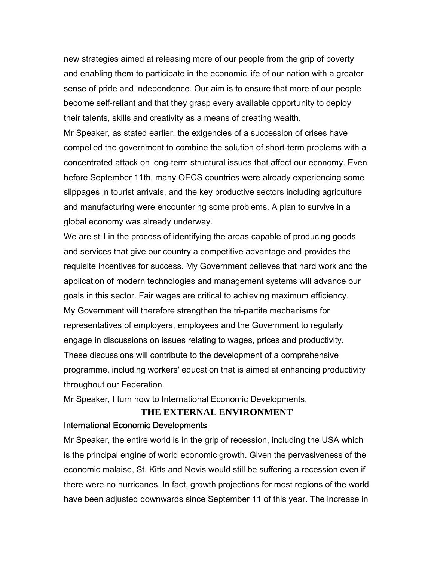new strategies aimed at releasing more of our people from the grip of poverty and enabling them to participate in the economic life of our nation with a greater sense of pride and independence. Our aim is to ensure that more of our people become self-reliant and that they grasp every available opportunity to deploy their talents, skills and creativity as a means of creating wealth.

Mr Speaker, as stated earlier, the exigencies of a succession of crises have compelled the government to combine the solution of short-term problems with a concentrated attack on long-term structural issues that affect our economy. Even before September 11th, many OECS countries were already experiencing some slippages in tourist arrivals, and the key productive sectors including agriculture and manufacturing were encountering some problems. A plan to survive in a global economy was already underway.

We are still in the process of identifying the areas capable of producing goods and services that give our country a competitive advantage and provides the requisite incentives for success. My Government believes that hard work and the application of modern technologies and management systems will advance our goals in this sector. Fair wages are critical to achieving maximum efficiency. My Government will therefore strengthen the tri-partite mechanisms for representatives of employers, employees and the Government to regularly engage in discussions on issues relating to wages, prices and productivity. These discussions will contribute to the development of a comprehensive programme, including workers' education that is aimed at enhancing productivity throughout our Federation.

Mr Speaker, I turn now to International Economic Developments.

### **THE EXTERNAL ENVIRONMENT** International Economic Developments

Mr Speaker, the entire world is in the grip of recession, including the USA which is the principal engine of world economic growth. Given the pervasiveness of the economic malaise, St. Kitts and Nevis would still be suffering a recession even if there were no hurricanes. In fact, growth projections for most regions of the world have been adjusted downwards since September 11 of this year. The increase in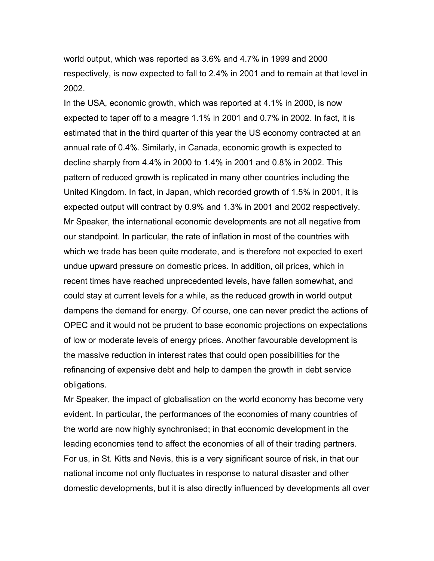world output, which was reported as 3.6% and 4.7% in 1999 and 2000 respectively, is now expected to fall to 2.4% in 2001 and to remain at that level in 2002.

In the USA, economic growth, which was reported at 4.1% in 2000, is now expected to taper off to a meagre 1.1% in 2001 and 0.7% in 2002. In fact, it is estimated that in the third quarter of this year the US economy contracted at an annual rate of 0.4%. Similarly, in Canada, economic growth is expected to decline sharply from 4.4% in 2000 to 1.4% in 2001 and 0.8% in 2002. This pattern of reduced growth is replicated in many other countries including the United Kingdom. In fact, in Japan, which recorded growth of 1.5% in 2001, it is expected output will contract by 0.9% and 1.3% in 2001 and 2002 respectively. Mr Speaker, the international economic developments are not all negative from our standpoint. In particular, the rate of inflation in most of the countries with which we trade has been quite moderate, and is therefore not expected to exert undue upward pressure on domestic prices. In addition, oil prices, which in recent times have reached unprecedented levels, have fallen somewhat, and could stay at current levels for a while, as the reduced growth in world output dampens the demand for energy. Of course, one can never predict the actions of OPEC and it would not be prudent to base economic projections on expectations of low or moderate levels of energy prices. Another favourable development is the massive reduction in interest rates that could open possibilities for the refinancing of expensive debt and help to dampen the growth in debt service obligations.

Mr Speaker, the impact of globalisation on the world economy has become very evident. In particular, the performances of the economies of many countries of the world are now highly synchronised; in that economic development in the leading economies tend to affect the economies of all of their trading partners. For us, in St. Kitts and Nevis, this is a very significant source of risk, in that our national income not only fluctuates in response to natural disaster and other domestic developments, but it is also directly influenced by developments all over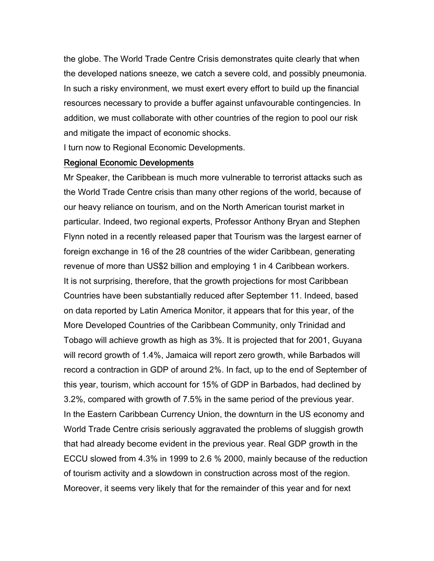the globe. The World Trade Centre Crisis demonstrates quite clearly that when the developed nations sneeze, we catch a severe cold, and possibly pneumonia. In such a risky environment, we must exert every effort to build up the financial resources necessary to provide a buffer against unfavourable contingencies. In addition, we must collaborate with other countries of the region to pool our risk and mitigate the impact of economic shocks.

I turn now to Regional Economic Developments.

#### Regional Economic Developments

Mr Speaker, the Caribbean is much more vulnerable to terrorist attacks such as the World Trade Centre crisis than many other regions of the world, because of our heavy reliance on tourism, and on the North American tourist market in particular. Indeed, two regional experts, Professor Anthony Bryan and Stephen Flynn noted in a recently released paper that Tourism was the largest earner of foreign exchange in 16 of the 28 countries of the wider Caribbean, generating revenue of more than US\$2 billion and employing 1 in 4 Caribbean workers. It is not surprising, therefore, that the growth projections for most Caribbean Countries have been substantially reduced after September 11. Indeed, based on data reported by Latin America Monitor, it appears that for this year, of the More Developed Countries of the Caribbean Community, only Trinidad and Tobago will achieve growth as high as 3%. It is projected that for 2001, Guyana will record growth of 1.4%, Jamaica will report zero growth, while Barbados will record a contraction in GDP of around 2%. In fact, up to the end of September of this year, tourism, which account for 15% of GDP in Barbados, had declined by 3.2%, compared with growth of 7.5% in the same period of the previous year. In the Eastern Caribbean Currency Union, the downturn in the US economy and World Trade Centre crisis seriously aggravated the problems of sluggish growth that had already become evident in the previous year. Real GDP growth in the ECCU slowed from 4.3% in 1999 to 2.6 % 2000, mainly because of the reduction of tourism activity and a slowdown in construction across most of the region. Moreover, it seems very likely that for the remainder of this year and for next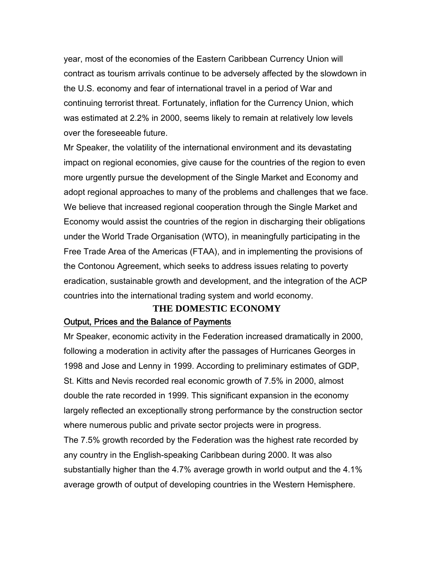year, most of the economies of the Eastern Caribbean Currency Union will contract as tourism arrivals continue to be adversely affected by the slowdown in the U.S. economy and fear of international travel in a period of War and continuing terrorist threat. Fortunately, inflation for the Currency Union, which was estimated at 2.2% in 2000, seems likely to remain at relatively low levels over the foreseeable future.

Mr Speaker, the volatility of the international environment and its devastating impact on regional economies, give cause for the countries of the region to even more urgently pursue the development of the Single Market and Economy and adopt regional approaches to many of the problems and challenges that we face. We believe that increased regional cooperation through the Single Market and Economy would assist the countries of the region in discharging their obligations under the World Trade Organisation (WTO), in meaningfully participating in the Free Trade Area of the Americas (FTAA), and in implementing the provisions of the Contonou Agreement, which seeks to address issues relating to poverty eradication, sustainable growth and development, and the integration of the ACP countries into the international trading system and world economy.

# **THE DOMESTIC ECONOMY**

#### Output, Prices and the Balance of Payments

Mr Speaker, economic activity in the Federation increased dramatically in 2000, following a moderation in activity after the passages of Hurricanes Georges in 1998 and Jose and Lenny in 1999. According to preliminary estimates of GDP, St. Kitts and Nevis recorded real economic growth of 7.5% in 2000, almost double the rate recorded in 1999. This significant expansion in the economy largely reflected an exceptionally strong performance by the construction sector where numerous public and private sector projects were in progress.

The 7.5% growth recorded by the Federation was the highest rate recorded by any country in the English-speaking Caribbean during 2000. It was also substantially higher than the 4.7% average growth in world output and the 4.1% average growth of output of developing countries in the Western Hemisphere.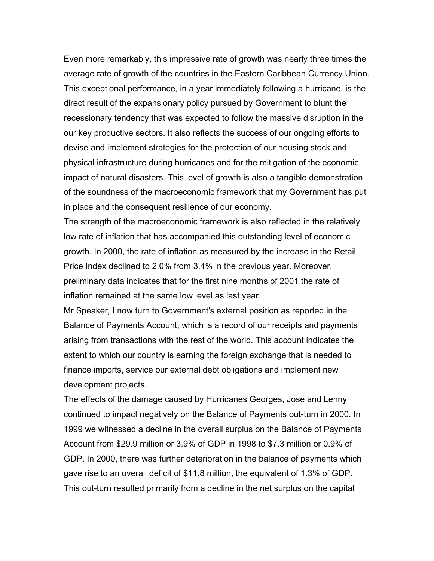Even more remarkably, this impressive rate of growth was nearly three times the average rate of growth of the countries in the Eastern Caribbean Currency Union. This exceptional performance, in a year immediately following a hurricane, is the direct result of the expansionary policy pursued by Government to blunt the recessionary tendency that was expected to follow the massive disruption in the our key productive sectors. It also reflects the success of our ongoing efforts to devise and implement strategies for the protection of our housing stock and physical infrastructure during hurricanes and for the mitigation of the economic impact of natural disasters. This level of growth is also a tangible demonstration of the soundness of the macroeconomic framework that my Government has put in place and the consequent resilience of our economy.

The strength of the macroeconomic framework is also reflected in the relatively low rate of inflation that has accompanied this outstanding level of economic growth. In 2000, the rate of inflation as measured by the increase in the Retail Price Index declined to 2.0% from 3.4% in the previous year. Moreover, preliminary data indicates that for the first nine months of 2001 the rate of inflation remained at the same low level as last year.

Mr Speaker, I now turn to Government's external position as reported in the Balance of Payments Account, which is a record of our receipts and payments arising from transactions with the rest of the world. This account indicates the extent to which our country is earning the foreign exchange that is needed to finance imports, service our external debt obligations and implement new development projects.

The effects of the damage caused by Hurricanes Georges, Jose and Lenny continued to impact negatively on the Balance of Payments out-turn in 2000. In 1999 we witnessed a decline in the overall surplus on the Balance of Payments Account from \$29.9 million or 3.9% of GDP in 1998 to \$7.3 million or 0.9% of GDP. In 2000, there was further deterioration in the balance of payments which gave rise to an overall deficit of \$11.8 million, the equivalent of 1.3% of GDP. This out-turn resulted primarily from a decline in the net surplus on the capital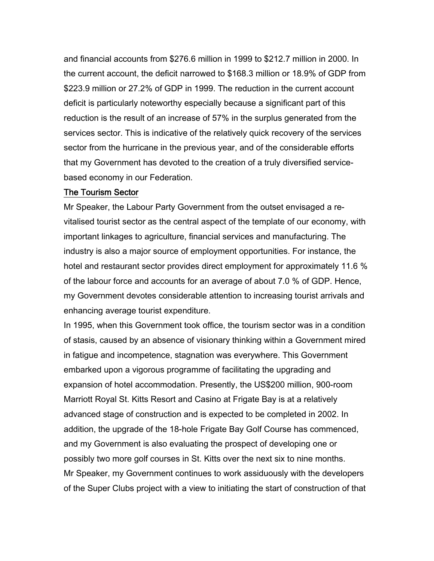and financial accounts from \$276.6 million in 1999 to \$212.7 million in 2000. In the current account, the deficit narrowed to \$168.3 million or 18.9% of GDP from \$223.9 million or 27.2% of GDP in 1999. The reduction in the current account deficit is particularly noteworthy especially because a significant part of this reduction is the result of an increase of 57% in the surplus generated from the services sector. This is indicative of the relatively quick recovery of the services sector from the hurricane in the previous year, and of the considerable efforts that my Government has devoted to the creation of a truly diversified servicebased economy in our Federation.

#### The Tourism Sector

Mr Speaker, the Labour Party Government from the outset envisaged a revitalised tourist sector as the central aspect of the template of our economy, with important linkages to agriculture, financial services and manufacturing. The industry is also a major source of employment opportunities. For instance, the hotel and restaurant sector provides direct employment for approximately 11.6 % of the labour force and accounts for an average of about 7.0 % of GDP. Hence, my Government devotes considerable attention to increasing tourist arrivals and enhancing average tourist expenditure.

In 1995, when this Government took office, the tourism sector was in a condition of stasis, caused by an absence of visionary thinking within a Government mired in fatigue and incompetence, stagnation was everywhere. This Government embarked upon a vigorous programme of facilitating the upgrading and expansion of hotel accommodation. Presently, the US\$200 million, 900-room Marriott Royal St. Kitts Resort and Casino at Frigate Bay is at a relatively advanced stage of construction and is expected to be completed in 2002. In addition, the upgrade of the 18-hole Frigate Bay Golf Course has commenced, and my Government is also evaluating the prospect of developing one or possibly two more golf courses in St. Kitts over the next six to nine months. Mr Speaker, my Government continues to work assiduously with the developers of the Super Clubs project with a view to initiating the start of construction of that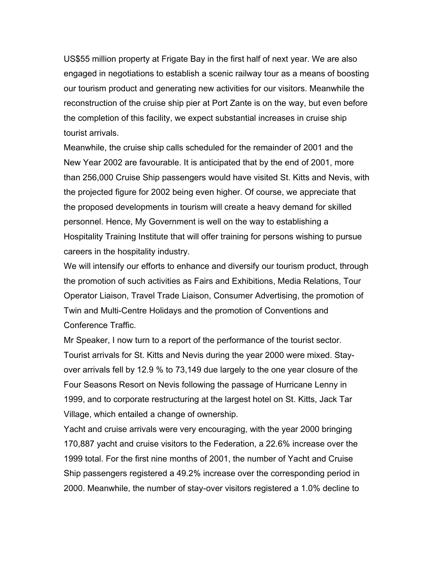US\$55 million property at Frigate Bay in the first half of next year. We are also engaged in negotiations to establish a scenic railway tour as a means of boosting our tourism product and generating new activities for our visitors. Meanwhile the reconstruction of the cruise ship pier at Port Zante is on the way, but even before the completion of this facility, we expect substantial increases in cruise ship tourist arrivals.

Meanwhile, the cruise ship calls scheduled for the remainder of 2001 and the New Year 2002 are favourable. It is anticipated that by the end of 2001, more than 256,000 Cruise Ship passengers would have visited St. Kitts and Nevis, with the projected figure for 2002 being even higher. Of course, we appreciate that the proposed developments in tourism will create a heavy demand for skilled personnel. Hence, My Government is well on the way to establishing a Hospitality Training Institute that will offer training for persons wishing to pursue careers in the hospitality industry.

We will intensify our efforts to enhance and diversify our tourism product, through the promotion of such activities as Fairs and Exhibitions, Media Relations, Tour Operator Liaison, Travel Trade Liaison, Consumer Advertising, the promotion of Twin and Multi-Centre Holidays and the promotion of Conventions and Conference Traffic.

Mr Speaker, I now turn to a report of the performance of the tourist sector. Tourist arrivals for St. Kitts and Nevis during the year 2000 were mixed. Stayover arrivals fell by 12.9 % to 73,149 due largely to the one year closure of the Four Seasons Resort on Nevis following the passage of Hurricane Lenny in 1999, and to corporate restructuring at the largest hotel on St. Kitts, Jack Tar Village, which entailed a change of ownership.

Yacht and cruise arrivals were very encouraging, with the year 2000 bringing 170,887 yacht and cruise visitors to the Federation, a 22.6% increase over the 1999 total. For the first nine months of 2001, the number of Yacht and Cruise Ship passengers registered a 49.2% increase over the corresponding period in 2000. Meanwhile, the number of stay-over visitors registered a 1.0% decline to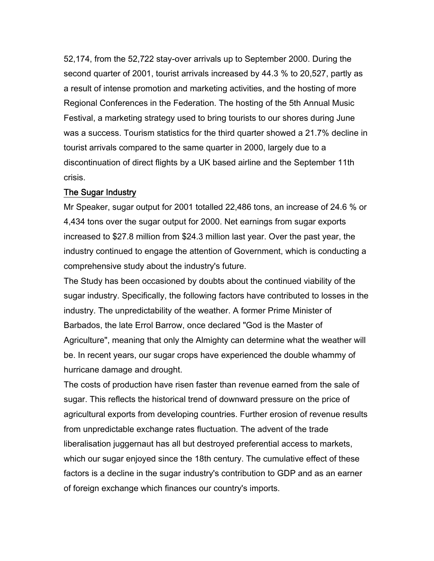52,174, from the 52,722 stay-over arrivals up to September 2000. During the second quarter of 2001, tourist arrivals increased by 44.3 % to 20,527, partly as a result of intense promotion and marketing activities, and the hosting of more Regional Conferences in the Federation. The hosting of the 5th Annual Music Festival, a marketing strategy used to bring tourists to our shores during June was a success. Tourism statistics for the third quarter showed a 21.7% decline in tourist arrivals compared to the same quarter in 2000, largely due to a discontinuation of direct flights by a UK based airline and the September 11th crisis.

#### The Sugar Industry

Mr Speaker, sugar output for 2001 totalled 22,486 tons, an increase of 24.6 % or 4,434 tons over the sugar output for 2000. Net earnings from sugar exports increased to \$27.8 million from \$24.3 million last year. Over the past year, the industry continued to engage the attention of Government, which is conducting a comprehensive study about the industry's future.

The Study has been occasioned by doubts about the continued viability of the sugar industry. Specifically, the following factors have contributed to losses in the industry. The unpredictability of the weather. A former Prime Minister of Barbados, the late Errol Barrow, once declared "God is the Master of Agriculture", meaning that only the Almighty can determine what the weather will be. In recent years, our sugar crops have experienced the double whammy of hurricane damage and drought.

The costs of production have risen faster than revenue earned from the sale of sugar. This reflects the historical trend of downward pressure on the price of agricultural exports from developing countries. Further erosion of revenue results from unpredictable exchange rates fluctuation. The advent of the trade liberalisation juggernaut has all but destroyed preferential access to markets, which our sugar enjoyed since the 18th century. The cumulative effect of these factors is a decline in the sugar industry's contribution to GDP and as an earner of foreign exchange which finances our country's imports.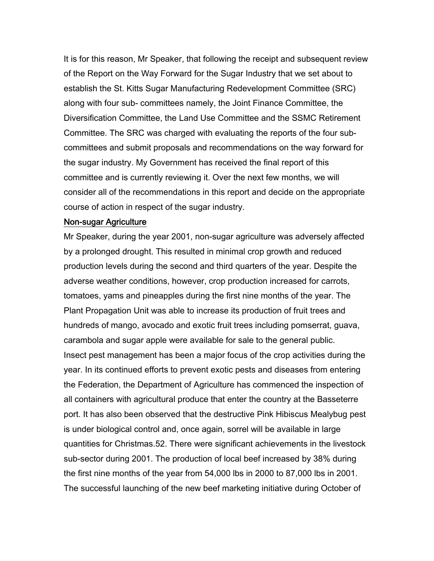It is for this reason, Mr Speaker, that following the receipt and subsequent review of the Report on the Way Forward for the Sugar Industry that we set about to establish the St. Kitts Sugar Manufacturing Redevelopment Committee (SRC) along with four sub- committees namely, the Joint Finance Committee, the Diversification Committee, the Land Use Committee and the SSMC Retirement Committee. The SRC was charged with evaluating the reports of the four subcommittees and submit proposals and recommendations on the way forward for the sugar industry. My Government has received the final report of this committee and is currently reviewing it. Over the next few months, we will consider all of the recommendations in this report and decide on the appropriate course of action in respect of the sugar industry.

#### Non-sugar Agriculture

Mr Speaker, during the year 2001, non-sugar agriculture was adversely affected by a prolonged drought. This resulted in minimal crop growth and reduced production levels during the second and third quarters of the year. Despite the adverse weather conditions, however, crop production increased for carrots, tomatoes, yams and pineapples during the first nine months of the year. The Plant Propagation Unit was able to increase its production of fruit trees and hundreds of mango, avocado and exotic fruit trees including pomserrat, guava, carambola and sugar apple were available for sale to the general public. Insect pest management has been a major focus of the crop activities during the year. In its continued efforts to prevent exotic pests and diseases from entering the Federation, the Department of Agriculture has commenced the inspection of all containers with agricultural produce that enter the country at the Basseterre port. It has also been observed that the destructive Pink Hibiscus Mealybug pest is under biological control and, once again, sorrel will be available in large quantities for Christmas.52. There were significant achievements in the livestock sub-sector during 2001. The production of local beef increased by 38% during the first nine months of the year from 54,000 lbs in 2000 to 87,000 lbs in 2001. The successful launching of the new beef marketing initiative during October of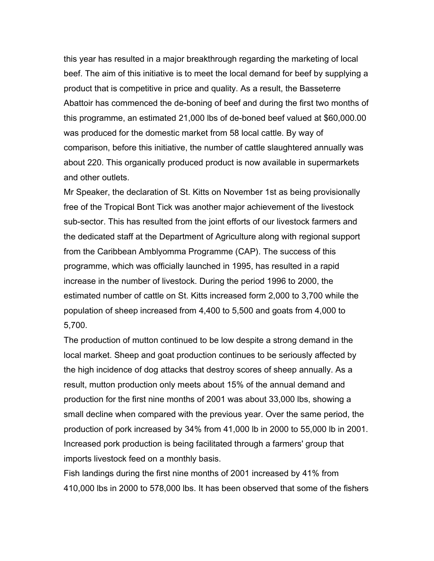this year has resulted in a major breakthrough regarding the marketing of local beef. The aim of this initiative is to meet the local demand for beef by supplying a product that is competitive in price and quality. As a result, the Basseterre Abattoir has commenced the de-boning of beef and during the first two months of this programme, an estimated 21,000 lbs of de-boned beef valued at \$60,000.00 was produced for the domestic market from 58 local cattle. By way of comparison, before this initiative, the number of cattle slaughtered annually was about 220. This organically produced product is now available in supermarkets and other outlets.

Mr Speaker, the declaration of St. Kitts on November 1st as being provisionally free of the Tropical Bont Tick was another major achievement of the livestock sub-sector. This has resulted from the joint efforts of our livestock farmers and the dedicated staff at the Department of Agriculture along with regional support from the Caribbean Amblyomma Programme (CAP). The success of this programme, which was officially launched in 1995, has resulted in a rapid increase in the number of livestock. During the period 1996 to 2000, the estimated number of cattle on St. Kitts increased form 2,000 to 3,700 while the population of sheep increased from 4,400 to 5,500 and goats from 4,000 to 5,700.

The production of mutton continued to be low despite a strong demand in the local market. Sheep and goat production continues to be seriously affected by the high incidence of dog attacks that destroy scores of sheep annually. As a result, mutton production only meets about 15% of the annual demand and production for the first nine months of 2001 was about 33,000 lbs, showing a small decline when compared with the previous year. Over the same period, the production of pork increased by 34% from 41,000 lb in 2000 to 55,000 lb in 2001. Increased pork production is being facilitated through a farmers' group that imports livestock feed on a monthly basis.

Fish landings during the first nine months of 2001 increased by 41% from 410,000 lbs in 2000 to 578,000 lbs. It has been observed that some of the fishers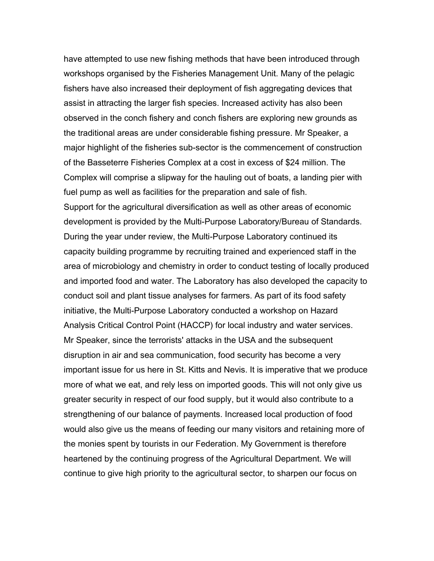have attempted to use new fishing methods that have been introduced through workshops organised by the Fisheries Management Unit. Many of the pelagic fishers have also increased their deployment of fish aggregating devices that assist in attracting the larger fish species. Increased activity has also been observed in the conch fishery and conch fishers are exploring new grounds as the traditional areas are under considerable fishing pressure. Mr Speaker, a major highlight of the fisheries sub-sector is the commencement of construction of the Basseterre Fisheries Complex at a cost in excess of \$24 million. The Complex will comprise a slipway for the hauling out of boats, a landing pier with fuel pump as well as facilities for the preparation and sale of fish. Support for the agricultural diversification as well as other areas of economic development is provided by the Multi-Purpose Laboratory/Bureau of Standards. During the year under review, the Multi-Purpose Laboratory continued its capacity building programme by recruiting trained and experienced staff in the area of microbiology and chemistry in order to conduct testing of locally produced and imported food and water. The Laboratory has also developed the capacity to conduct soil and plant tissue analyses for farmers. As part of its food safety initiative, the Multi-Purpose Laboratory conducted a workshop on Hazard Analysis Critical Control Point (HACCP) for local industry and water services. Mr Speaker, since the terrorists' attacks in the USA and the subsequent disruption in air and sea communication, food security has become a very important issue for us here in St. Kitts and Nevis. It is imperative that we produce more of what we eat, and rely less on imported goods. This will not only give us greater security in respect of our food supply, but it would also contribute to a strengthening of our balance of payments. Increased local production of food would also give us the means of feeding our many visitors and retaining more of the monies spent by tourists in our Federation. My Government is therefore heartened by the continuing progress of the Agricultural Department. We will continue to give high priority to the agricultural sector, to sharpen our focus on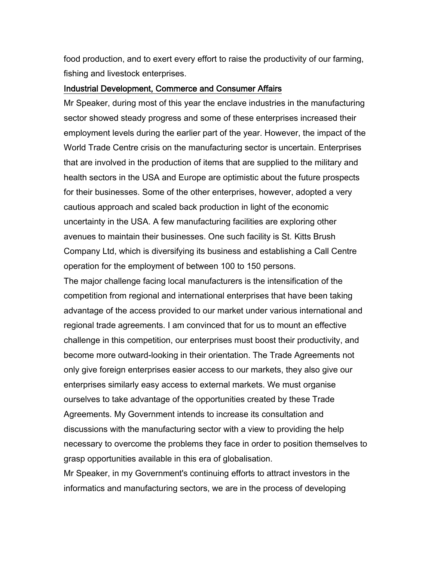food production, and to exert every effort to raise the productivity of our farming, fishing and livestock enterprises.

#### Industrial Development, Commerce and Consumer Affairs

Mr Speaker, during most of this year the enclave industries in the manufacturing sector showed steady progress and some of these enterprises increased their employment levels during the earlier part of the year. However, the impact of the World Trade Centre crisis on the manufacturing sector is uncertain. Enterprises that are involved in the production of items that are supplied to the military and health sectors in the USA and Europe are optimistic about the future prospects for their businesses. Some of the other enterprises, however, adopted a very cautious approach and scaled back production in light of the economic uncertainty in the USA. A few manufacturing facilities are exploring other avenues to maintain their businesses. One such facility is St. Kitts Brush Company Ltd, which is diversifying its business and establishing a Call Centre operation for the employment of between 100 to 150 persons.

The major challenge facing local manufacturers is the intensification of the competition from regional and international enterprises that have been taking advantage of the access provided to our market under various international and regional trade agreements. I am convinced that for us to mount an effective challenge in this competition, our enterprises must boost their productivity, and become more outward-looking in their orientation. The Trade Agreements not only give foreign enterprises easier access to our markets, they also give our enterprises similarly easy access to external markets. We must organise ourselves to take advantage of the opportunities created by these Trade Agreements. My Government intends to increase its consultation and discussions with the manufacturing sector with a view to providing the help necessary to overcome the problems they face in order to position themselves to grasp opportunities available in this era of globalisation.

Mr Speaker, in my Government's continuing efforts to attract investors in the informatics and manufacturing sectors, we are in the process of developing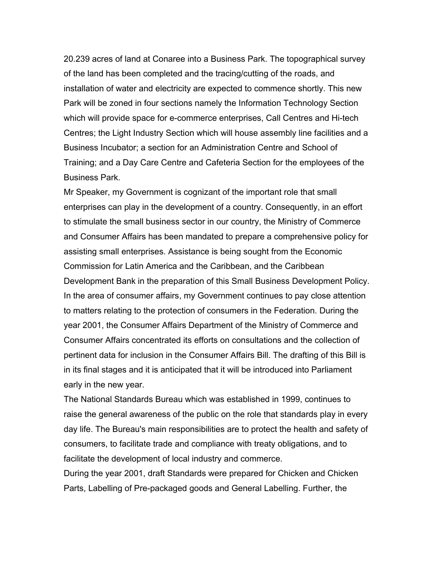20.239 acres of land at Conaree into a Business Park. The topographical survey of the land has been completed and the tracing/cutting of the roads, and installation of water and electricity are expected to commence shortly. This new Park will be zoned in four sections namely the Information Technology Section which will provide space for e-commerce enterprises, Call Centres and Hi-tech Centres; the Light Industry Section which will house assembly line facilities and a Business Incubator; a section for an Administration Centre and School of Training; and a Day Care Centre and Cafeteria Section for the employees of the Business Park.

Mr Speaker, my Government is cognizant of the important role that small enterprises can play in the development of a country. Consequently, in an effort to stimulate the small business sector in our country, the Ministry of Commerce and Consumer Affairs has been mandated to prepare a comprehensive policy for assisting small enterprises. Assistance is being sought from the Economic Commission for Latin America and the Caribbean, and the Caribbean Development Bank in the preparation of this Small Business Development Policy. In the area of consumer affairs, my Government continues to pay close attention to matters relating to the protection of consumers in the Federation. During the year 2001, the Consumer Affairs Department of the Ministry of Commerce and Consumer Affairs concentrated its efforts on consultations and the collection of pertinent data for inclusion in the Consumer Affairs Bill. The drafting of this Bill is in its final stages and it is anticipated that it will be introduced into Parliament early in the new year.

The National Standards Bureau which was established in 1999, continues to raise the general awareness of the public on the role that standards play in every day life. The Bureau's main responsibilities are to protect the health and safety of consumers, to facilitate trade and compliance with treaty obligations, and to facilitate the development of local industry and commerce.

During the year 2001, draft Standards were prepared for Chicken and Chicken Parts, Labelling of Pre-packaged goods and General Labelling. Further, the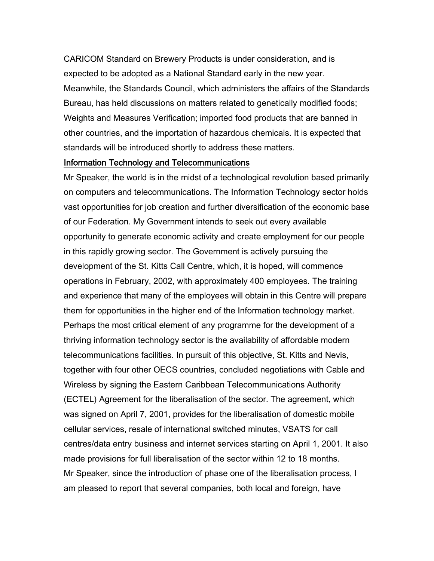CARICOM Standard on Brewery Products is under consideration, and is expected to be adopted as a National Standard early in the new year. Meanwhile, the Standards Council, which administers the affairs of the Standards Bureau, has held discussions on matters related to genetically modified foods; Weights and Measures Verification; imported food products that are banned in other countries, and the importation of hazardous chemicals. It is expected that standards will be introduced shortly to address these matters.

#### Information Technology and Telecommunications

Mr Speaker, the world is in the midst of a technological revolution based primarily on computers and telecommunications. The Information Technology sector holds vast opportunities for job creation and further diversification of the economic base of our Federation. My Government intends to seek out every available opportunity to generate economic activity and create employment for our people in this rapidly growing sector. The Government is actively pursuing the development of the St. Kitts Call Centre, which, it is hoped, will commence operations in February, 2002, with approximately 400 employees. The training and experience that many of the employees will obtain in this Centre will prepare them for opportunities in the higher end of the Information technology market. Perhaps the most critical element of any programme for the development of a thriving information technology sector is the availability of affordable modern telecommunications facilities. In pursuit of this objective, St. Kitts and Nevis, together with four other OECS countries, concluded negotiations with Cable and Wireless by signing the Eastern Caribbean Telecommunications Authority (ECTEL) Agreement for the liberalisation of the sector. The agreement, which was signed on April 7, 2001, provides for the liberalisation of domestic mobile cellular services, resale of international switched minutes, VSATS for call centres/data entry business and internet services starting on April 1, 2001. It also made provisions for full liberalisation of the sector within 12 to 18 months. Mr Speaker, since the introduction of phase one of the liberalisation process, I am pleased to report that several companies, both local and foreign, have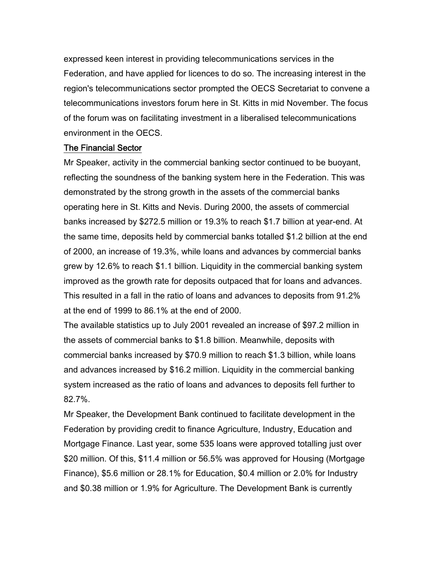expressed keen interest in providing telecommunications services in the Federation, and have applied for licences to do so. The increasing interest in the region's telecommunications sector prompted the OECS Secretariat to convene a telecommunications investors forum here in St. Kitts in mid November. The focus of the forum was on facilitating investment in a liberalised telecommunications environment in the OECS.

#### The Financial Sector

Mr Speaker, activity in the commercial banking sector continued to be buoyant, reflecting the soundness of the banking system here in the Federation. This was demonstrated by the strong growth in the assets of the commercial banks operating here in St. Kitts and Nevis. During 2000, the assets of commercial banks increased by \$272.5 million or 19.3% to reach \$1.7 billion at year-end. At the same time, deposits held by commercial banks totalled \$1.2 billion at the end of 2000, an increase of 19.3%, while loans and advances by commercial banks grew by 12.6% to reach \$1.1 billion. Liquidity in the commercial banking system improved as the growth rate for deposits outpaced that for loans and advances. This resulted in a fall in the ratio of loans and advances to deposits from 91.2% at the end of 1999 to 86.1% at the end of 2000.

The available statistics up to July 2001 revealed an increase of \$97.2 million in the assets of commercial banks to \$1.8 billion. Meanwhile, deposits with commercial banks increased by \$70.9 million to reach \$1.3 billion, while loans and advances increased by \$16.2 million. Liquidity in the commercial banking system increased as the ratio of loans and advances to deposits fell further to 82.7%.

Mr Speaker, the Development Bank continued to facilitate development in the Federation by providing credit to finance Agriculture, Industry, Education and Mortgage Finance. Last year, some 535 loans were approved totalling just over \$20 million. Of this, \$11.4 million or 56.5% was approved for Housing (Mortgage Finance), \$5.6 million or 28.1% for Education, \$0.4 million or 2.0% for Industry and \$0.38 million or 1.9% for Agriculture. The Development Bank is currently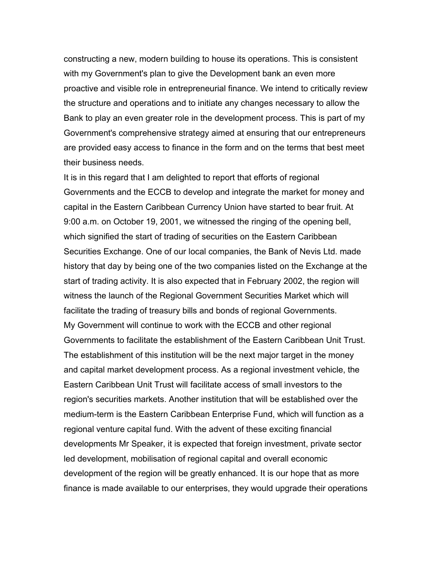constructing a new, modern building to house its operations. This is consistent with my Government's plan to give the Development bank an even more proactive and visible role in entrepreneurial finance. We intend to critically review the structure and operations and to initiate any changes necessary to allow the Bank to play an even greater role in the development process. This is part of my Government's comprehensive strategy aimed at ensuring that our entrepreneurs are provided easy access to finance in the form and on the terms that best meet their business needs.

It is in this regard that I am delighted to report that efforts of regional Governments and the ECCB to develop and integrate the market for money and capital in the Eastern Caribbean Currency Union have started to bear fruit. At 9:00 a.m. on October 19, 2001, we witnessed the ringing of the opening bell, which signified the start of trading of securities on the Eastern Caribbean Securities Exchange. One of our local companies, the Bank of Nevis Ltd. made history that day by being one of the two companies listed on the Exchange at the start of trading activity. It is also expected that in February 2002, the region will witness the launch of the Regional Government Securities Market which will facilitate the trading of treasury bills and bonds of regional Governments. My Government will continue to work with the ECCB and other regional Governments to facilitate the establishment of the Eastern Caribbean Unit Trust. The establishment of this institution will be the next major target in the money and capital market development process. As a regional investment vehicle, the Eastern Caribbean Unit Trust will facilitate access of small investors to the region's securities markets. Another institution that will be established over the medium-term is the Eastern Caribbean Enterprise Fund, which will function as a regional venture capital fund. With the advent of these exciting financial developments Mr Speaker, it is expected that foreign investment, private sector led development, mobilisation of regional capital and overall economic development of the region will be greatly enhanced. It is our hope that as more finance is made available to our enterprises, they would upgrade their operations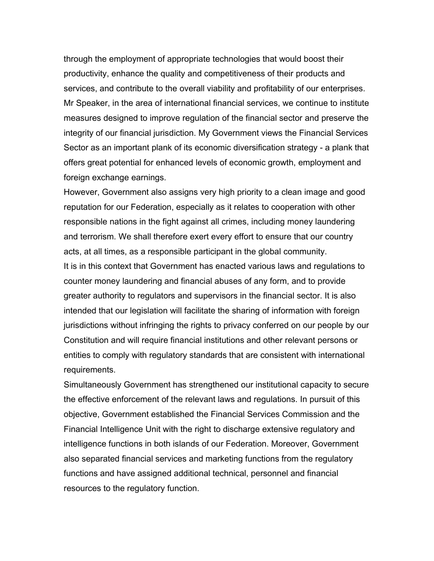through the employment of appropriate technologies that would boost their productivity, enhance the quality and competitiveness of their products and services, and contribute to the overall viability and profitability of our enterprises. Mr Speaker, in the area of international financial services, we continue to institute measures designed to improve regulation of the financial sector and preserve the integrity of our financial jurisdiction. My Government views the Financial Services Sector as an important plank of its economic diversification strategy - a plank that offers great potential for enhanced levels of economic growth, employment and foreign exchange earnings.

However, Government also assigns very high priority to a clean image and good reputation for our Federation, especially as it relates to cooperation with other responsible nations in the fight against all crimes, including money laundering and terrorism. We shall therefore exert every effort to ensure that our country acts, at all times, as a responsible participant in the global community. It is in this context that Government has enacted various laws and regulations to counter money laundering and financial abuses of any form, and to provide greater authority to regulators and supervisors in the financial sector. It is also intended that our legislation will facilitate the sharing of information with foreign jurisdictions without infringing the rights to privacy conferred on our people by our Constitution and will require financial institutions and other relevant persons or entities to comply with regulatory standards that are consistent with international

requirements.

Simultaneously Government has strengthened our institutional capacity to secure the effective enforcement of the relevant laws and regulations. In pursuit of this objective, Government established the Financial Services Commission and the Financial Intelligence Unit with the right to discharge extensive regulatory and intelligence functions in both islands of our Federation. Moreover, Government also separated financial services and marketing functions from the regulatory functions and have assigned additional technical, personnel and financial resources to the regulatory function.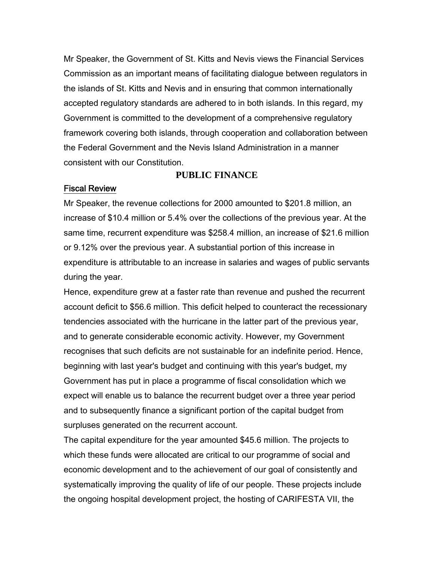Mr Speaker, the Government of St. Kitts and Nevis views the Financial Services Commission as an important means of facilitating dialogue between regulators in the islands of St. Kitts and Nevis and in ensuring that common internationally accepted regulatory standards are adhered to in both islands. In this regard, my Government is committed to the development of a comprehensive regulatory framework covering both islands, through cooperation and collaboration between the Federal Government and the Nevis Island Administration in a manner consistent with our Constitution.

#### **PUBLIC FINANCE**

#### Fiscal Review

Mr Speaker, the revenue collections for 2000 amounted to \$201.8 million, an increase of \$10.4 million or 5.4% over the collections of the previous year. At the same time, recurrent expenditure was \$258.4 million, an increase of \$21.6 million or 9.12% over the previous year. A substantial portion of this increase in expenditure is attributable to an increase in salaries and wages of public servants during the year.

Hence, expenditure grew at a faster rate than revenue and pushed the recurrent account deficit to \$56.6 million. This deficit helped to counteract the recessionary tendencies associated with the hurricane in the latter part of the previous year, and to generate considerable economic activity. However, my Government recognises that such deficits are not sustainable for an indefinite period. Hence, beginning with last year's budget and continuing with this year's budget, my Government has put in place a programme of fiscal consolidation which we expect will enable us to balance the recurrent budget over a three year period and to subsequently finance a significant portion of the capital budget from surpluses generated on the recurrent account.

The capital expenditure for the year amounted \$45.6 million. The projects to which these funds were allocated are critical to our programme of social and economic development and to the achievement of our goal of consistently and systematically improving the quality of life of our people. These projects include the ongoing hospital development project, the hosting of CARIFESTA VII, the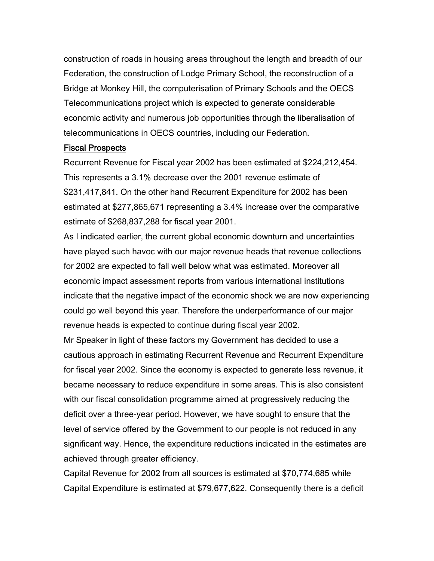construction of roads in housing areas throughout the length and breadth of our Federation, the construction of Lodge Primary School, the reconstruction of a Bridge at Monkey Hill, the computerisation of Primary Schools and the OECS Telecommunications project which is expected to generate considerable economic activity and numerous job opportunities through the liberalisation of telecommunications in OECS countries, including our Federation.

#### Fiscal Prospects

Recurrent Revenue for Fiscal year 2002 has been estimated at \$224,212,454. This represents a 3.1% decrease over the 2001 revenue estimate of \$231,417,841. On the other hand Recurrent Expenditure for 2002 has been estimated at \$277,865,671 representing a 3.4% increase over the comparative estimate of \$268,837,288 for fiscal year 2001.

As I indicated earlier, the current global economic downturn and uncertainties have played such havoc with our major revenue heads that revenue collections for 2002 are expected to fall well below what was estimated. Moreover all economic impact assessment reports from various international institutions indicate that the negative impact of the economic shock we are now experiencing could go well beyond this year. Therefore the underperformance of our major revenue heads is expected to continue during fiscal year 2002.

Mr Speaker in light of these factors my Government has decided to use a cautious approach in estimating Recurrent Revenue and Recurrent Expenditure for fiscal year 2002. Since the economy is expected to generate less revenue, it became necessary to reduce expenditure in some areas. This is also consistent with our fiscal consolidation programme aimed at progressively reducing the deficit over a three-year period. However, we have sought to ensure that the level of service offered by the Government to our people is not reduced in any significant way. Hence, the expenditure reductions indicated in the estimates are achieved through greater efficiency.

Capital Revenue for 2002 from all sources is estimated at \$70,774,685 while Capital Expenditure is estimated at \$79,677,622. Consequently there is a deficit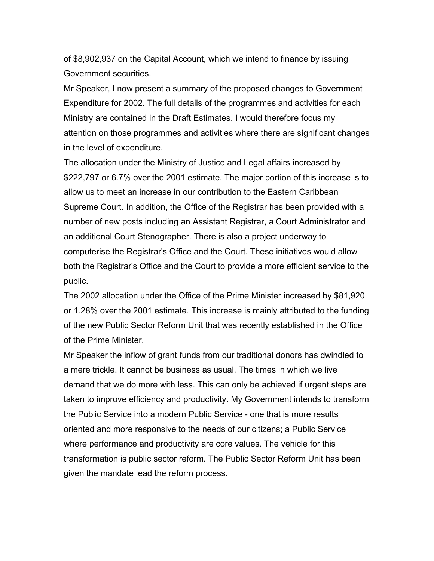of \$8,902,937 on the Capital Account, which we intend to finance by issuing Government securities.

Mr Speaker, I now present a summary of the proposed changes to Government Expenditure for 2002. The full details of the programmes and activities for each Ministry are contained in the Draft Estimates. I would therefore focus my attention on those programmes and activities where there are significant changes in the level of expenditure.

The allocation under the Ministry of Justice and Legal affairs increased by \$222,797 or 6.7% over the 2001 estimate. The major portion of this increase is to allow us to meet an increase in our contribution to the Eastern Caribbean Supreme Court. In addition, the Office of the Registrar has been provided with a number of new posts including an Assistant Registrar, a Court Administrator and an additional Court Stenographer. There is also a project underway to computerise the Registrar's Office and the Court. These initiatives would allow both the Registrar's Office and the Court to provide a more efficient service to the public.

The 2002 allocation under the Office of the Prime Minister increased by \$81,920 or 1.28% over the 2001 estimate. This increase is mainly attributed to the funding of the new Public Sector Reform Unit that was recently established in the Office of the Prime Minister.

Mr Speaker the inflow of grant funds from our traditional donors has dwindled to a mere trickle. It cannot be business as usual. The times in which we live demand that we do more with less. This can only be achieved if urgent steps are taken to improve efficiency and productivity. My Government intends to transform the Public Service into a modern Public Service - one that is more results oriented and more responsive to the needs of our citizens; a Public Service where performance and productivity are core values. The vehicle for this transformation is public sector reform. The Public Sector Reform Unit has been given the mandate lead the reform process.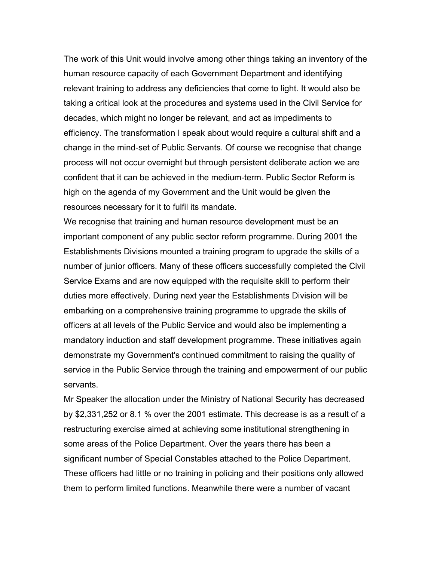The work of this Unit would involve among other things taking an inventory of the human resource capacity of each Government Department and identifying relevant training to address any deficiencies that come to light. It would also be taking a critical look at the procedures and systems used in the Civil Service for decades, which might no longer be relevant, and act as impediments to efficiency. The transformation I speak about would require a cultural shift and a change in the mind-set of Public Servants. Of course we recognise that change process will not occur overnight but through persistent deliberate action we are confident that it can be achieved in the medium-term. Public Sector Reform is high on the agenda of my Government and the Unit would be given the resources necessary for it to fulfil its mandate.

We recognise that training and human resource development must be an important component of any public sector reform programme. During 2001 the Establishments Divisions mounted a training program to upgrade the skills of a number of junior officers. Many of these officers successfully completed the Civil Service Exams and are now equipped with the requisite skill to perform their duties more effectively. During next year the Establishments Division will be embarking on a comprehensive training programme to upgrade the skills of officers at all levels of the Public Service and would also be implementing a mandatory induction and staff development programme. These initiatives again demonstrate my Government's continued commitment to raising the quality of service in the Public Service through the training and empowerment of our public servants.

Mr Speaker the allocation under the Ministry of National Security has decreased by \$2,331,252 or 8.1 % over the 2001 estimate. This decrease is as a result of a restructuring exercise aimed at achieving some institutional strengthening in some areas of the Police Department. Over the years there has been a significant number of Special Constables attached to the Police Department. These officers had little or no training in policing and their positions only allowed them to perform limited functions. Meanwhile there were a number of vacant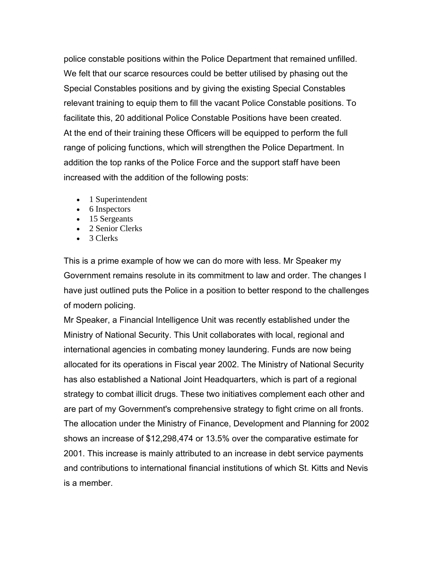police constable positions within the Police Department that remained unfilled. We felt that our scarce resources could be better utilised by phasing out the Special Constables positions and by giving the existing Special Constables relevant training to equip them to fill the vacant Police Constable positions. To facilitate this, 20 additional Police Constable Positions have been created. At the end of their training these Officers will be equipped to perform the full range of policing functions, which will strengthen the Police Department. In addition the top ranks of the Police Force and the support staff have been increased with the addition of the following posts:

- 1 Superintendent
- 6 Inspectors
- 15 Sergeants
- 2 Senior Clerks
- 3 Clerks

This is a prime example of how we can do more with less. Mr Speaker my Government remains resolute in its commitment to law and order. The changes I have just outlined puts the Police in a position to better respond to the challenges of modern policing.

Mr Speaker, a Financial Intelligence Unit was recently established under the Ministry of National Security. This Unit collaborates with local, regional and international agencies in combating money laundering. Funds are now being allocated for its operations in Fiscal year 2002. The Ministry of National Security has also established a National Joint Headquarters, which is part of a regional strategy to combat illicit drugs. These two initiatives complement each other and are part of my Government's comprehensive strategy to fight crime on all fronts. The allocation under the Ministry of Finance, Development and Planning for 2002 shows an increase of \$12,298,474 or 13.5% over the comparative estimate for 2001. This increase is mainly attributed to an increase in debt service payments and contributions to international financial institutions of which St. Kitts and Nevis is a member.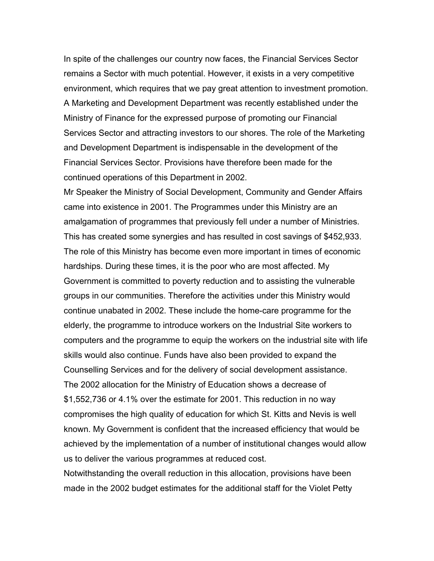In spite of the challenges our country now faces, the Financial Services Sector remains a Sector with much potential. However, it exists in a very competitive environment, which requires that we pay great attention to investment promotion. A Marketing and Development Department was recently established under the Ministry of Finance for the expressed purpose of promoting our Financial Services Sector and attracting investors to our shores. The role of the Marketing and Development Department is indispensable in the development of the Financial Services Sector. Provisions have therefore been made for the continued operations of this Department in 2002.

Mr Speaker the Ministry of Social Development, Community and Gender Affairs came into existence in 2001. The Programmes under this Ministry are an amalgamation of programmes that previously fell under a number of Ministries. This has created some synergies and has resulted in cost savings of \$452,933. The role of this Ministry has become even more important in times of economic hardships. During these times, it is the poor who are most affected. My Government is committed to poverty reduction and to assisting the vulnerable groups in our communities. Therefore the activities under this Ministry would continue unabated in 2002. These include the home-care programme for the elderly, the programme to introduce workers on the Industrial Site workers to computers and the programme to equip the workers on the industrial site with life skills would also continue. Funds have also been provided to expand the Counselling Services and for the delivery of social development assistance. The 2002 allocation for the Ministry of Education shows a decrease of \$1,552,736 or 4.1% over the estimate for 2001. This reduction in no way compromises the high quality of education for which St. Kitts and Nevis is well known. My Government is confident that the increased efficiency that would be achieved by the implementation of a number of institutional changes would allow us to deliver the various programmes at reduced cost.

Notwithstanding the overall reduction in this allocation, provisions have been made in the 2002 budget estimates for the additional staff for the Violet Petty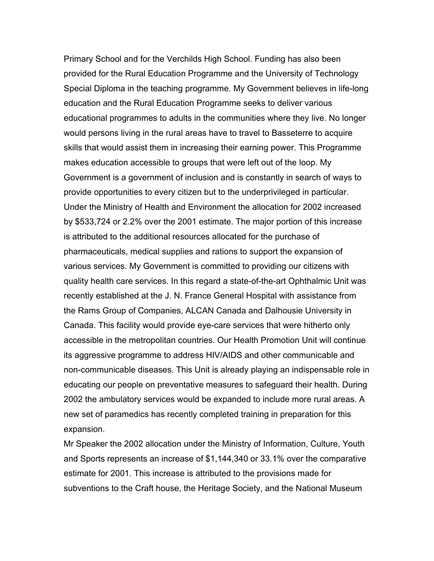Primary School and for the Verchilds High School. Funding has also been provided for the Rural Education Programme and the University of Technology Special Diploma in the teaching programme. My Government believes in life-long education and the Rural Education Programme seeks to deliver various educational programmes to adults in the communities where they live. No longer would persons living in the rural areas have to travel to Basseterre to acquire skills that would assist them in increasing their earning power. This Programme makes education accessible to groups that were left out of the loop. My Government is a government of inclusion and is constantly in search of ways to provide opportunities to every citizen but to the underprivileged in particular. Under the Ministry of Health and Environment the allocation for 2002 increased by \$533,724 or 2.2% over the 2001 estimate. The major portion of this increase is attributed to the additional resources allocated for the purchase of pharmaceuticals, medical supplies and rations to support the expansion of various services. My Government is committed to providing our citizens with quality health care services. In this regard a state-of-the-art Ophthalmic Unit was recently established at the J. N. France General Hospital with assistance from the Rams Group of Companies, ALCAN Canada and Dalhousie University in Canada. This facility would provide eye-care services that were hitherto only accessible in the metropolitan countries. Our Health Promotion Unit will continue its aggressive programme to address HIV/AIDS and other communicable and non-communicable diseases. This Unit is already playing an indispensable role in educating our people on preventative measures to safeguard their health. During 2002 the ambulatory services would be expanded to include more rural areas. A new set of paramedics has recently completed training in preparation for this expansion.

Mr Speaker the 2002 allocation under the Ministry of Information, Culture, Youth and Sports represents an increase of \$1,144,340 or 33.1% over the comparative estimate for 2001. This increase is attributed to the provisions made for subventions to the Craft house, the Heritage Society, and the National Museum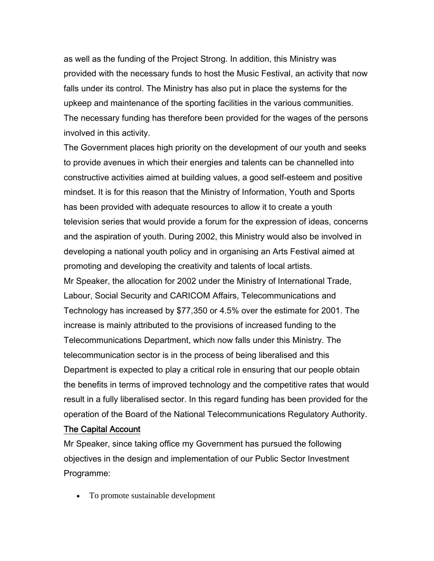as well as the funding of the Project Strong. In addition, this Ministry was provided with the necessary funds to host the Music Festival, an activity that now falls under its control. The Ministry has also put in place the systems for the upkeep and maintenance of the sporting facilities in the various communities. The necessary funding has therefore been provided for the wages of the persons involved in this activity.

The Government places high priority on the development of our youth and seeks to provide avenues in which their energies and talents can be channelled into constructive activities aimed at building values, a good self-esteem and positive mindset. It is for this reason that the Ministry of Information, Youth and Sports has been provided with adequate resources to allow it to create a youth television series that would provide a forum for the expression of ideas, concerns and the aspiration of youth. During 2002, this Ministry would also be involved in developing a national youth policy and in organising an Arts Festival aimed at promoting and developing the creativity and talents of local artists. Mr Speaker, the allocation for 2002 under the Ministry of International Trade, Labour, Social Security and CARICOM Affairs, Telecommunications and Technology has increased by \$77,350 or 4.5% over the estimate for 2001. The increase is mainly attributed to the provisions of increased funding to the Telecommunications Department, which now falls under this Ministry. The telecommunication sector is in the process of being liberalised and this Department is expected to play a critical role in ensuring that our people obtain the benefits in terms of improved technology and the competitive rates that would result in a fully liberalised sector. In this regard funding has been provided for the operation of the Board of the National Telecommunications Regulatory Authority.

#### The Capital Account

Mr Speaker, since taking office my Government has pursued the following objectives in the design and implementation of our Public Sector Investment Programme:

• To promote sustainable development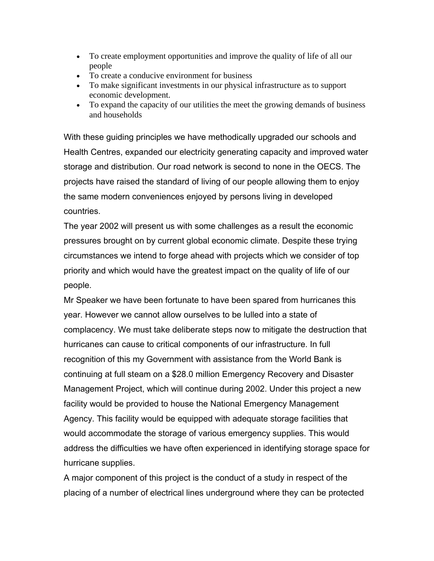- To create employment opportunities and improve the quality of life of all our people
- To create a conducive environment for business
- To make significant investments in our physical infrastructure as to support economic development.
- To expand the capacity of our utilities the meet the growing demands of business and households

With these guiding principles we have methodically upgraded our schools and Health Centres, expanded our electricity generating capacity and improved water storage and distribution. Our road network is second to none in the OECS. The projects have raised the standard of living of our people allowing them to enjoy the same modern conveniences enjoyed by persons living in developed countries.

The year 2002 will present us with some challenges as a result the economic pressures brought on by current global economic climate. Despite these trying circumstances we intend to forge ahead with projects which we consider of top priority and which would have the greatest impact on the quality of life of our people.

Mr Speaker we have been fortunate to have been spared from hurricanes this year. However we cannot allow ourselves to be lulled into a state of complacency. We must take deliberate steps now to mitigate the destruction that hurricanes can cause to critical components of our infrastructure. In full recognition of this my Government with assistance from the World Bank is continuing at full steam on a \$28.0 million Emergency Recovery and Disaster Management Project, which will continue during 2002. Under this project a new facility would be provided to house the National Emergency Management Agency. This facility would be equipped with adequate storage facilities that would accommodate the storage of various emergency supplies. This would address the difficulties we have often experienced in identifying storage space for hurricane supplies.

A major component of this project is the conduct of a study in respect of the placing of a number of electrical lines underground where they can be protected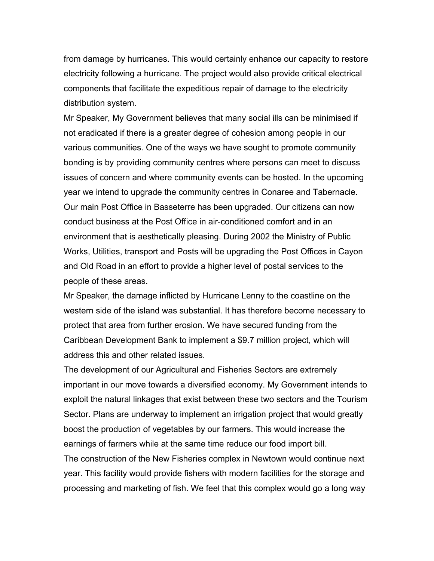from damage by hurricanes. This would certainly enhance our capacity to restore electricity following a hurricane. The project would also provide critical electrical components that facilitate the expeditious repair of damage to the electricity distribution system.

Mr Speaker, My Government believes that many social ills can be minimised if not eradicated if there is a greater degree of cohesion among people in our various communities. One of the ways we have sought to promote community bonding is by providing community centres where persons can meet to discuss issues of concern and where community events can be hosted. In the upcoming year we intend to upgrade the community centres in Conaree and Tabernacle. Our main Post Office in Basseterre has been upgraded. Our citizens can now conduct business at the Post Office in air-conditioned comfort and in an environment that is aesthetically pleasing. During 2002 the Ministry of Public Works, Utilities, transport and Posts will be upgrading the Post Offices in Cayon and Old Road in an effort to provide a higher level of postal services to the people of these areas.

Mr Speaker, the damage inflicted by Hurricane Lenny to the coastline on the western side of the island was substantial. It has therefore become necessary to protect that area from further erosion. We have secured funding from the Caribbean Development Bank to implement a \$9.7 million project, which will address this and other related issues.

The development of our Agricultural and Fisheries Sectors are extremely important in our move towards a diversified economy. My Government intends to exploit the natural linkages that exist between these two sectors and the Tourism Sector. Plans are underway to implement an irrigation project that would greatly boost the production of vegetables by our farmers. This would increase the earnings of farmers while at the same time reduce our food import bill. The construction of the New Fisheries complex in Newtown would continue next year. This facility would provide fishers with modern facilities for the storage and

processing and marketing of fish. We feel that this complex would go a long way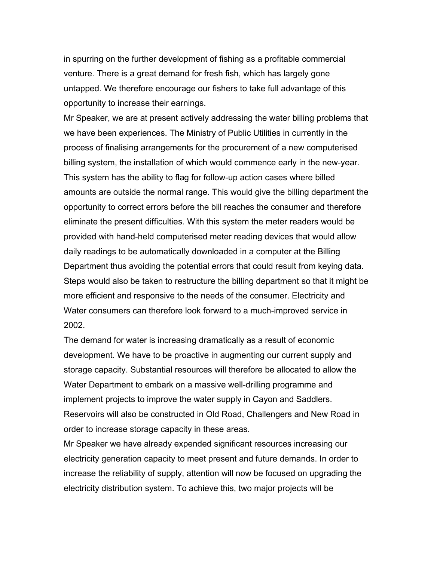in spurring on the further development of fishing as a profitable commercial venture. There is a great demand for fresh fish, which has largely gone untapped. We therefore encourage our fishers to take full advantage of this opportunity to increase their earnings.

Mr Speaker, we are at present actively addressing the water billing problems that we have been experiences. The Ministry of Public Utilities in currently in the process of finalising arrangements for the procurement of a new computerised billing system, the installation of which would commence early in the new-year. This system has the ability to flag for follow-up action cases where billed amounts are outside the normal range. This would give the billing department the opportunity to correct errors before the bill reaches the consumer and therefore eliminate the present difficulties. With this system the meter readers would be provided with hand-held computerised meter reading devices that would allow daily readings to be automatically downloaded in a computer at the Billing Department thus avoiding the potential errors that could result from keying data. Steps would also be taken to restructure the billing department so that it might be more efficient and responsive to the needs of the consumer. Electricity and Water consumers can therefore look forward to a much-improved service in 2002.

The demand for water is increasing dramatically as a result of economic development. We have to be proactive in augmenting our current supply and storage capacity. Substantial resources will therefore be allocated to allow the Water Department to embark on a massive well-drilling programme and implement projects to improve the water supply in Cayon and Saddlers. Reservoirs will also be constructed in Old Road, Challengers and New Road in order to increase storage capacity in these areas.

Mr Speaker we have already expended significant resources increasing our electricity generation capacity to meet present and future demands. In order to increase the reliability of supply, attention will now be focused on upgrading the electricity distribution system. To achieve this, two major projects will be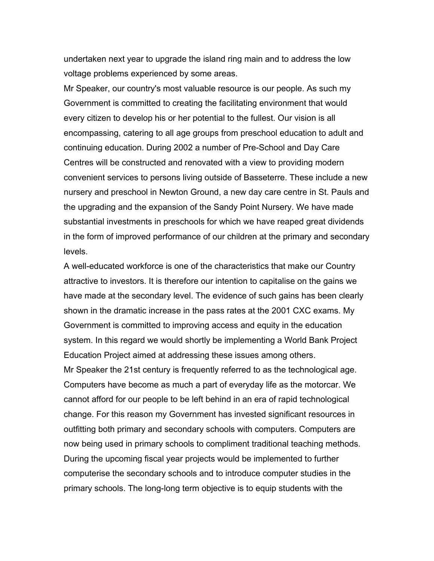undertaken next year to upgrade the island ring main and to address the low voltage problems experienced by some areas.

Mr Speaker, our country's most valuable resource is our people. As such my Government is committed to creating the facilitating environment that would every citizen to develop his or her potential to the fullest. Our vision is all encompassing, catering to all age groups from preschool education to adult and continuing education. During 2002 a number of Pre-School and Day Care Centres will be constructed and renovated with a view to providing modern convenient services to persons living outside of Basseterre. These include a new nursery and preschool in Newton Ground, a new day care centre in St. Pauls and the upgrading and the expansion of the Sandy Point Nursery. We have made substantial investments in preschools for which we have reaped great dividends in the form of improved performance of our children at the primary and secondary levels.

A well-educated workforce is one of the characteristics that make our Country attractive to investors. It is therefore our intention to capitalise on the gains we have made at the secondary level. The evidence of such gains has been clearly shown in the dramatic increase in the pass rates at the 2001 CXC exams. My Government is committed to improving access and equity in the education system. In this regard we would shortly be implementing a World Bank Project Education Project aimed at addressing these issues among others. Mr Speaker the 21st century is frequently referred to as the technological age. Computers have become as much a part of everyday life as the motorcar. We cannot afford for our people to be left behind in an era of rapid technological change. For this reason my Government has invested significant resources in outfitting both primary and secondary schools with computers. Computers are now being used in primary schools to compliment traditional teaching methods. During the upcoming fiscal year projects would be implemented to further computerise the secondary schools and to introduce computer studies in the primary schools. The long-long term objective is to equip students with the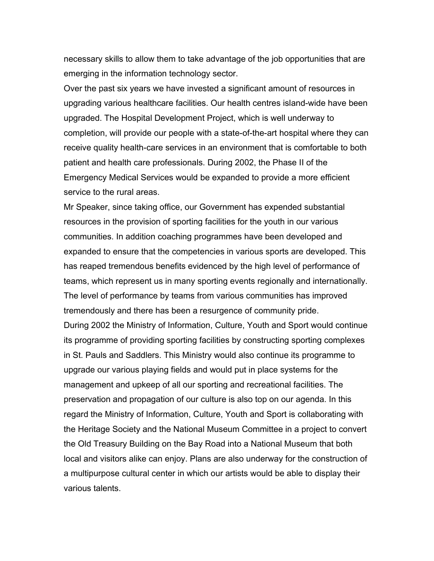necessary skills to allow them to take advantage of the job opportunities that are emerging in the information technology sector.

Over the past six years we have invested a significant amount of resources in upgrading various healthcare facilities. Our health centres island-wide have been upgraded. The Hospital Development Project, which is well underway to completion, will provide our people with a state-of-the-art hospital where they can receive quality health-care services in an environment that is comfortable to both patient and health care professionals. During 2002, the Phase II of the Emergency Medical Services would be expanded to provide a more efficient service to the rural areas.

Mr Speaker, since taking office, our Government has expended substantial resources in the provision of sporting facilities for the youth in our various communities. In addition coaching programmes have been developed and expanded to ensure that the competencies in various sports are developed. This has reaped tremendous benefits evidenced by the high level of performance of teams, which represent us in many sporting events regionally and internationally. The level of performance by teams from various communities has improved tremendously and there has been a resurgence of community pride. During 2002 the Ministry of Information, Culture, Youth and Sport would continue its programme of providing sporting facilities by constructing sporting complexes in St. Pauls and Saddlers. This Ministry would also continue its programme to upgrade our various playing fields and would put in place systems for the management and upkeep of all our sporting and recreational facilities. The preservation and propagation of our culture is also top on our agenda. In this regard the Ministry of Information, Culture, Youth and Sport is collaborating with the Heritage Society and the National Museum Committee in a project to convert the Old Treasury Building on the Bay Road into a National Museum that both local and visitors alike can enjoy. Plans are also underway for the construction of a multipurpose cultural center in which our artists would be able to display their various talents.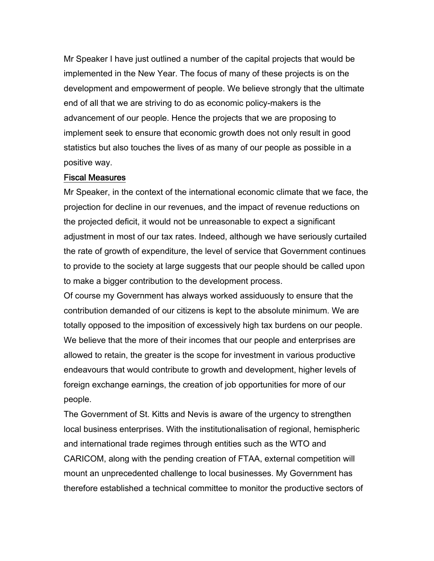Mr Speaker I have just outlined a number of the capital projects that would be implemented in the New Year. The focus of many of these projects is on the development and empowerment of people. We believe strongly that the ultimate end of all that we are striving to do as economic policy-makers is the advancement of our people. Hence the projects that we are proposing to implement seek to ensure that economic growth does not only result in good statistics but also touches the lives of as many of our people as possible in a positive way.

#### Fiscal Measures

Mr Speaker, in the context of the international economic climate that we face, the projection for decline in our revenues, and the impact of revenue reductions on the projected deficit, it would not be unreasonable to expect a significant adjustment in most of our tax rates. Indeed, although we have seriously curtailed the rate of growth of expenditure, the level of service that Government continues to provide to the society at large suggests that our people should be called upon to make a bigger contribution to the development process.

Of course my Government has always worked assiduously to ensure that the contribution demanded of our citizens is kept to the absolute minimum. We are totally opposed to the imposition of excessively high tax burdens on our people. We believe that the more of their incomes that our people and enterprises are allowed to retain, the greater is the scope for investment in various productive endeavours that would contribute to growth and development, higher levels of foreign exchange earnings, the creation of job opportunities for more of our people.

The Government of St. Kitts and Nevis is aware of the urgency to strengthen local business enterprises. With the institutionalisation of regional, hemispheric and international trade regimes through entities such as the WTO and CARICOM, along with the pending creation of FTAA, external competition will mount an unprecedented challenge to local businesses. My Government has therefore established a technical committee to monitor the productive sectors of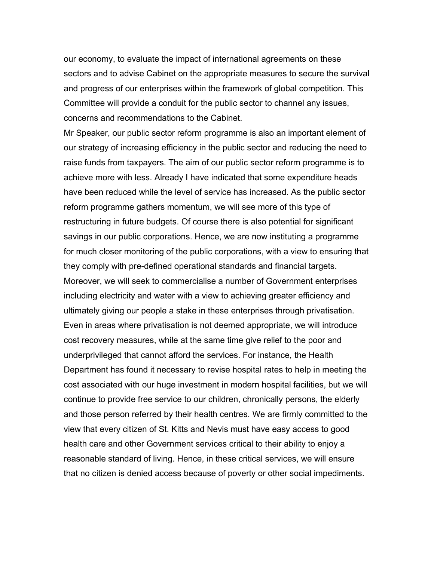our economy, to evaluate the impact of international agreements on these sectors and to advise Cabinet on the appropriate measures to secure the survival and progress of our enterprises within the framework of global competition. This Committee will provide a conduit for the public sector to channel any issues, concerns and recommendations to the Cabinet.

Mr Speaker, our public sector reform programme is also an important element of our strategy of increasing efficiency in the public sector and reducing the need to raise funds from taxpayers. The aim of our public sector reform programme is to achieve more with less. Already I have indicated that some expenditure heads have been reduced while the level of service has increased. As the public sector reform programme gathers momentum, we will see more of this type of restructuring in future budgets. Of course there is also potential for significant savings in our public corporations. Hence, we are now instituting a programme for much closer monitoring of the public corporations, with a view to ensuring that they comply with pre-defined operational standards and financial targets. Moreover, we will seek to commercialise a number of Government enterprises including electricity and water with a view to achieving greater efficiency and ultimately giving our people a stake in these enterprises through privatisation. Even in areas where privatisation is not deemed appropriate, we will introduce cost recovery measures, while at the same time give relief to the poor and underprivileged that cannot afford the services. For instance, the Health Department has found it necessary to revise hospital rates to help in meeting the cost associated with our huge investment in modern hospital facilities, but we will continue to provide free service to our children, chronically persons, the elderly and those person referred by their health centres. We are firmly committed to the view that every citizen of St. Kitts and Nevis must have easy access to good health care and other Government services critical to their ability to enjoy a reasonable standard of living. Hence, in these critical services, we will ensure that no citizen is denied access because of poverty or other social impediments.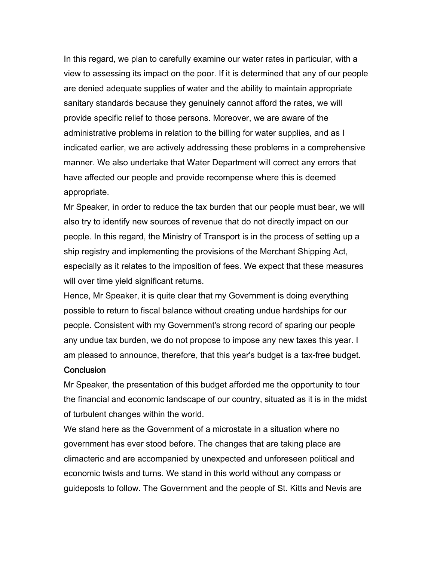In this regard, we plan to carefully examine our water rates in particular, with a view to assessing its impact on the poor. If it is determined that any of our people are denied adequate supplies of water and the ability to maintain appropriate sanitary standards because they genuinely cannot afford the rates, we will provide specific relief to those persons. Moreover, we are aware of the administrative problems in relation to the billing for water supplies, and as I indicated earlier, we are actively addressing these problems in a comprehensive manner. We also undertake that Water Department will correct any errors that have affected our people and provide recompense where this is deemed appropriate.

Mr Speaker, in order to reduce the tax burden that our people must bear, we will also try to identify new sources of revenue that do not directly impact on our people. In this regard, the Ministry of Transport is in the process of setting up a ship registry and implementing the provisions of the Merchant Shipping Act, especially as it relates to the imposition of fees. We expect that these measures will over time yield significant returns.

Hence, Mr Speaker, it is quite clear that my Government is doing everything possible to return to fiscal balance without creating undue hardships for our people. Consistent with my Government's strong record of sparing our people any undue tax burden, we do not propose to impose any new taxes this year. I am pleased to announce, therefore, that this year's budget is a tax-free budget.

#### **Conclusion**

Mr Speaker, the presentation of this budget afforded me the opportunity to tour the financial and economic landscape of our country, situated as it is in the midst of turbulent changes within the world.

We stand here as the Government of a microstate in a situation where no government has ever stood before. The changes that are taking place are climacteric and are accompanied by unexpected and unforeseen political and economic twists and turns. We stand in this world without any compass or guideposts to follow. The Government and the people of St. Kitts and Nevis are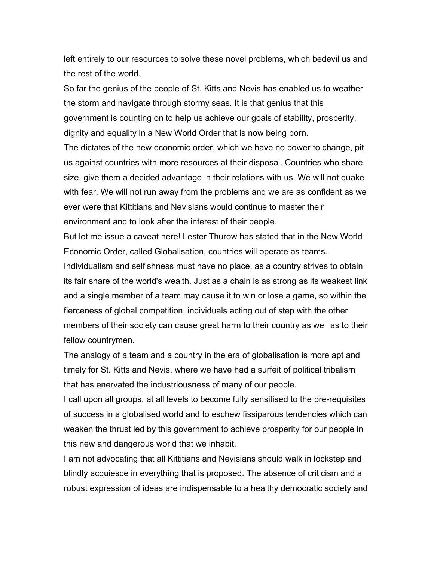left entirely to our resources to solve these novel problems, which bedevil us and the rest of the world.

So far the genius of the people of St. Kitts and Nevis has enabled us to weather the storm and navigate through stormy seas. It is that genius that this government is counting on to help us achieve our goals of stability, prosperity, dignity and equality in a New World Order that is now being born.

The dictates of the new economic order, which we have no power to change, pit us against countries with more resources at their disposal. Countries who share size, give them a decided advantage in their relations with us. We will not quake with fear. We will not run away from the problems and we are as confident as we ever were that Kittitians and Nevisians would continue to master their environment and to look after the interest of their people.

But let me issue a caveat here! Lester Thurow has stated that in the New World Economic Order, called Globalisation, countries will operate as teams.

Individualism and selfishness must have no place, as a country strives to obtain its fair share of the world's wealth. Just as a chain is as strong as its weakest link and a single member of a team may cause it to win or lose a game, so within the fierceness of global competition, individuals acting out of step with the other members of their society can cause great harm to their country as well as to their fellow countrymen.

The analogy of a team and a country in the era of globalisation is more apt and timely for St. Kitts and Nevis, where we have had a surfeit of political tribalism that has enervated the industriousness of many of our people.

I call upon all groups, at all levels to become fully sensitised to the pre-requisites of success in a globalised world and to eschew fissiparous tendencies which can weaken the thrust led by this government to achieve prosperity for our people in this new and dangerous world that we inhabit.

I am not advocating that all Kittitians and Nevisians should walk in lockstep and blindly acquiesce in everything that is proposed. The absence of criticism and a robust expression of ideas are indispensable to a healthy democratic society and